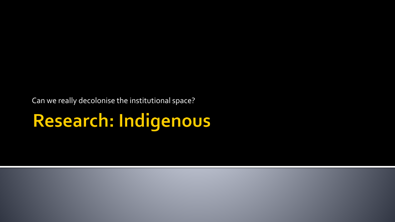Can we really decolonise the institutional space?

# Research: Indigenous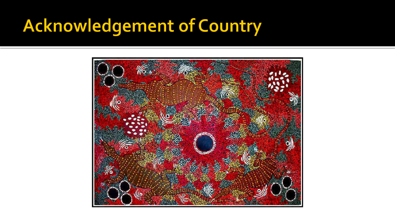#### **Acknowledgement of Country**

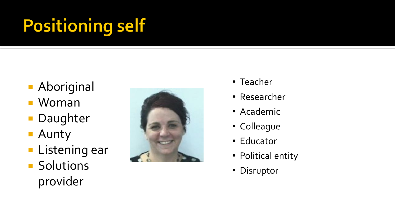# **Positioning self**

- **Aboriginal**
- Woman
- **Daughter**
- **Aunty**
- **Listening ear**
- **Solutions** provider



- Teacher
- Researcher
- Academic
- Colleague
- Educator
- Political entity
- Disruptor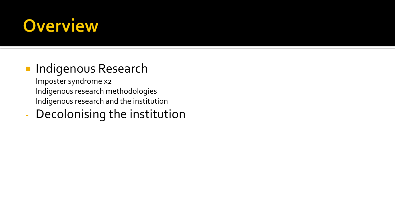#### **Overview**

#### **Indigenous Research**

- Imposter syndrome x2
- Indigenous research methodologies
- Indigenous research and the institution
- Decolonising the institution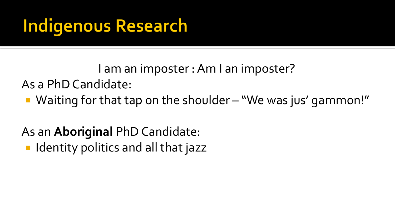## **Indigenous Research**

I am an imposter : Am I an imposter?

As a PhD Candidate:

■ Waiting for that tap on the shoulder – "We was jus' gammon!"

As an **Aboriginal** PhD Candidate:

**In Identity politics and all that jazz**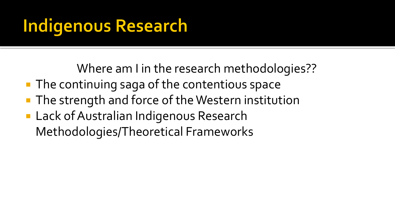## **Indigenous Research**

Where am I in the research methodologies??

- **The continuing saga of the contentious space**
- **The strength and force of the Western institution**
- **Lack of Australian Indigenous Research** Methodologies/Theoretical Frameworks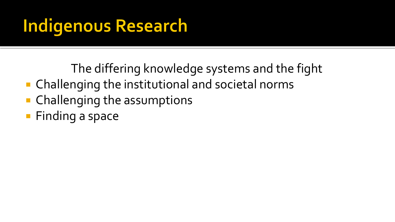# **Indigenous Research**

The differing knowledge systems and the fight

- Challenging the institutional and societal norms
- Challenging the assumptions
- **Finding a space**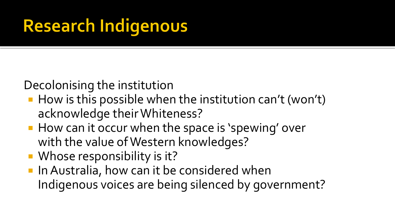# **Research Indigenous**

Decolonising the institution

- $\blacksquare$  How is this possible when the institution can't (won't) acknowledge their Whiteness?
- How can it occur when the space is 'spewing' over with the value of Western knowledges?
- Whose responsibility is it?
- **In Australia, how can it be considered when** Indigenous voices are being silenced by government?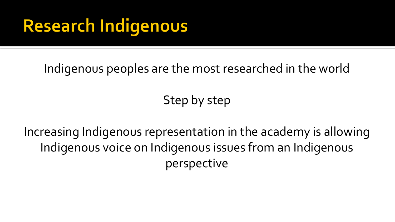#### **Research Indigenous**

Indigenous peoples are the most researched in the world

Step by step

Increasing Indigenous representation in the academy is allowing Indigenous voice on Indigenous issues from an Indigenous perspective